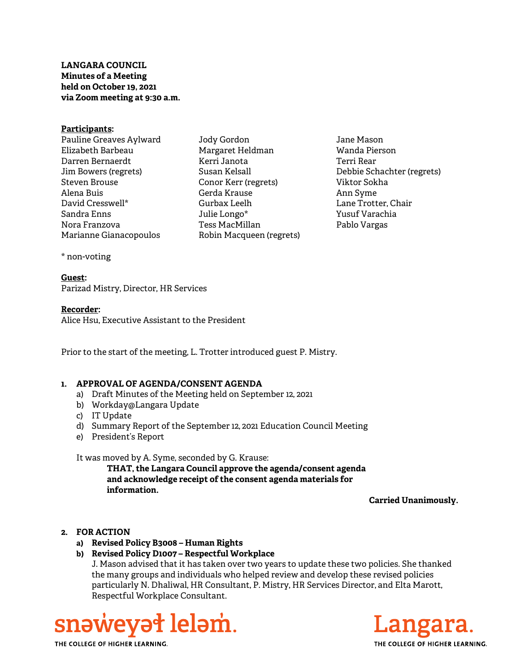LANGARA COUNCIL Minutes of a Meeting held on October 19, 2021 via Zoom meeting at 9:30 a.m.

#### Participants:

Pauline Greaves Aylward Elizabeth Barbeau Darren Bernaerdt Jim Bowers (regrets) Steven Brouse Alena Buis David Cresswell\* Sandra Enns Nora Franzova Marianne Gianacopoulos

Jody Gordon Margaret Heldman Kerri Janota Susan Kelsall Conor Kerr (regrets) Gerda Krause Gurbax Leelh Julie Longo\* Tess MacMillan Robin Macqueen (regrets)

Jane Mason Wanda Pierson Terri Rear Debbie Schachter (regrets) Viktor Sokha Ann Syme Lane Trotter, Chair Yusuf Varachia Pablo Vargas

\* non-voting

# Guest:

Parizad Mistry, Director, HR Services

### Recorder:

Alice Hsu, Executive Assistant to the President

Prior to the start of the meeting, L. Trotter introduced guest P. Mistry.

### 1. APPROVAL OF AGENDA/CONSENT AGENDA

- a) Draft Minutes of the Meeting held on September 12, 2021
- b) Workday@Langara Update
- c) IT Update
- d) Summary Report of the September 12, 2021 Education Council Meeting
- e) President's Report

### It was moved by A. Syme, seconded by G. Krause:

THAT, the Langara Council approve the agenda/consent agenda and acknowledge receipt of the consent agenda materials for information.

Carried Unanimously.

# 2. FOR ACTION

- a) Revised Policy B3008 Human Rights
- b) Revised Policy D1007 Respectful Workplace

J. Mason advised that it has taken over two years to update these two policies. She thanked the many groups and individuals who helped review and develop these revised policies particularly N. Dhaliwal, HR Consultant, P. Mistry, HR Services Director, and Elta Marott, Respectful Workplace Consultant.



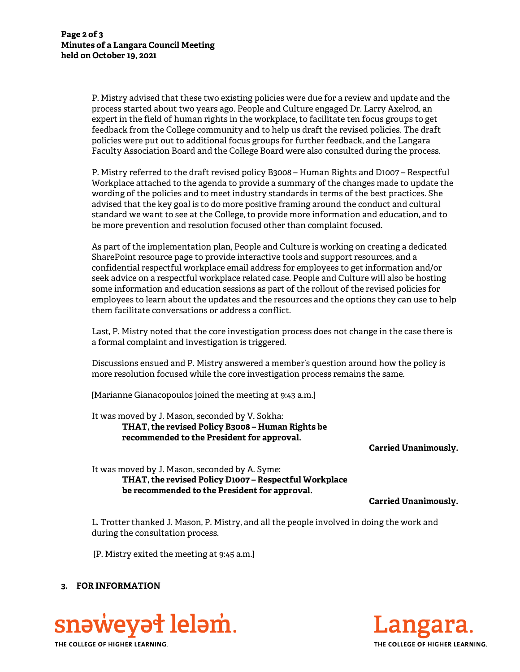P. Mistry advised that these two existing policies were due for a review and update and the process started about two years ago. People and Culture engaged Dr. Larry Axelrod, an expert in the field of human rights in the workplace, to facilitate ten focus groups to get feedback from the College community and to help us draft the revised policies. The draft policies were put out to additional focus groups for further feedback, and the Langara Faculty Association Board and the College Board were also consulted during the process.

P. Mistry referred to the draft revised policy B3008 – Human Rights and D1007 – Respectful Workplace attached to the agenda to provide a summary of the changes made to update the wording of the policies and to meet industry standards in terms of the best practices. She advised that the key goal is to do more positive framing around the conduct and cultural standard we want to see at the College, to provide more information and education, and to be more prevention and resolution focused other than complaint focused.

As part of the implementation plan, People and Culture is working on creating a dedicated SharePoint resource page to provide interactive tools and support resources, and a confidential respectful workplace email address for employees to get information and/or seek advice on a respectful workplace related case. People and Culture will also be hosting some information and education sessions as part of the rollout of the revised policies for employees to learn about the updates and the resources and the options they can use to help them facilitate conversations or address a conflict.

Last, P. Mistry noted that the core investigation process does not change in the case there is a formal complaint and investigation is triggered.

Discussions ensued and P. Mistry answered a member's question around how the policy is more resolution focused while the core investigation process remains the same.

[Marianne Gianacopoulos joined the meeting at 9:43 a.m.]

It was moved by J. Mason, seconded by V. Sokha: THAT, the revised Policy B3008 – Human Rights be recommended to the President for approval.

Carried Unanimously.

It was moved by J. Mason, seconded by A. Syme: THAT, the revised Policy D1007 – Respectful Workplace be recommended to the President for approval.

Carried Unanimously.

L. Trotter thanked J. Mason, P. Mistry, and all the people involved in doing the work and during the consultation process.

[P. Mistry exited the meeting at 9:45 a.m.]

## 3. FOR INFORMATION





THE COLLEGE OF HIGHER LEARNING.